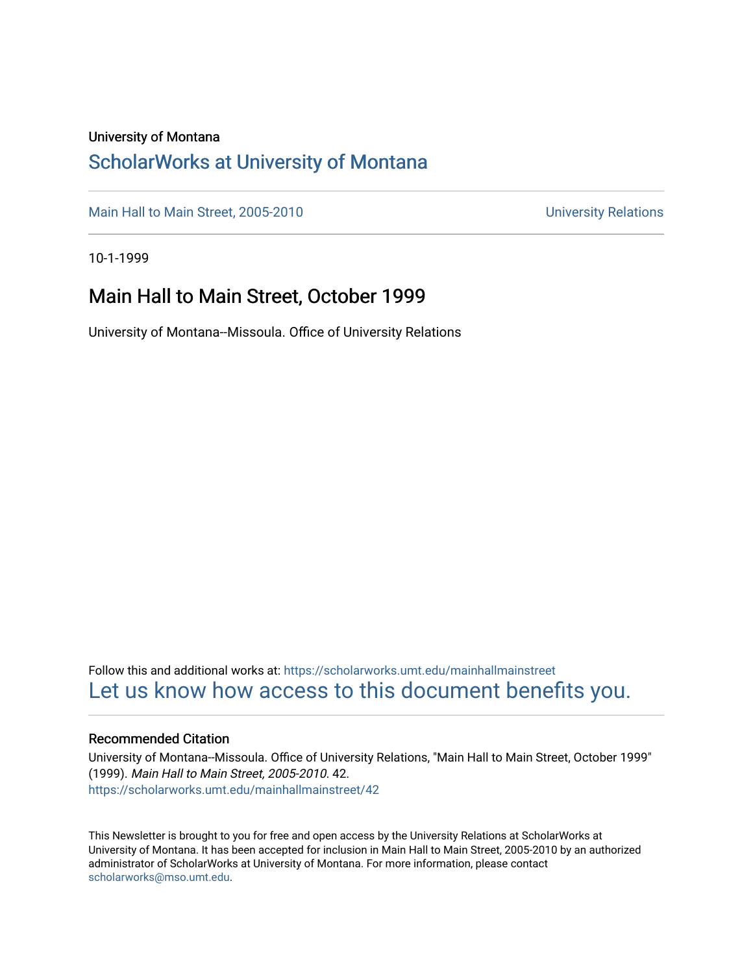#### University of Montana

### [ScholarWorks at University of Montana](https://scholarworks.umt.edu/)

[Main Hall to Main Street, 2005-2010](https://scholarworks.umt.edu/mainhallmainstreet) Main Hall to Main Street, 2005-2010

10-1-1999

### Main Hall to Main Street, October 1999

University of Montana--Missoula. Office of University Relations

Follow this and additional works at: [https://scholarworks.umt.edu/mainhallmainstreet](https://scholarworks.umt.edu/mainhallmainstreet?utm_source=scholarworks.umt.edu%2Fmainhallmainstreet%2F42&utm_medium=PDF&utm_campaign=PDFCoverPages) [Let us know how access to this document benefits you.](https://goo.gl/forms/s2rGfXOLzz71qgsB2) 

#### Recommended Citation

University of Montana--Missoula. Office of University Relations, "Main Hall to Main Street, October 1999" (1999). Main Hall to Main Street, 2005-2010. 42. [https://scholarworks.umt.edu/mainhallmainstreet/42](https://scholarworks.umt.edu/mainhallmainstreet/42?utm_source=scholarworks.umt.edu%2Fmainhallmainstreet%2F42&utm_medium=PDF&utm_campaign=PDFCoverPages) 

This Newsletter is brought to you for free and open access by the University Relations at ScholarWorks at University of Montana. It has been accepted for inclusion in Main Hall to Main Street, 2005-2010 by an authorized administrator of ScholarWorks at University of Montana. For more information, please contact [scholarworks@mso.umt.edu.](mailto:scholarworks@mso.umt.edu)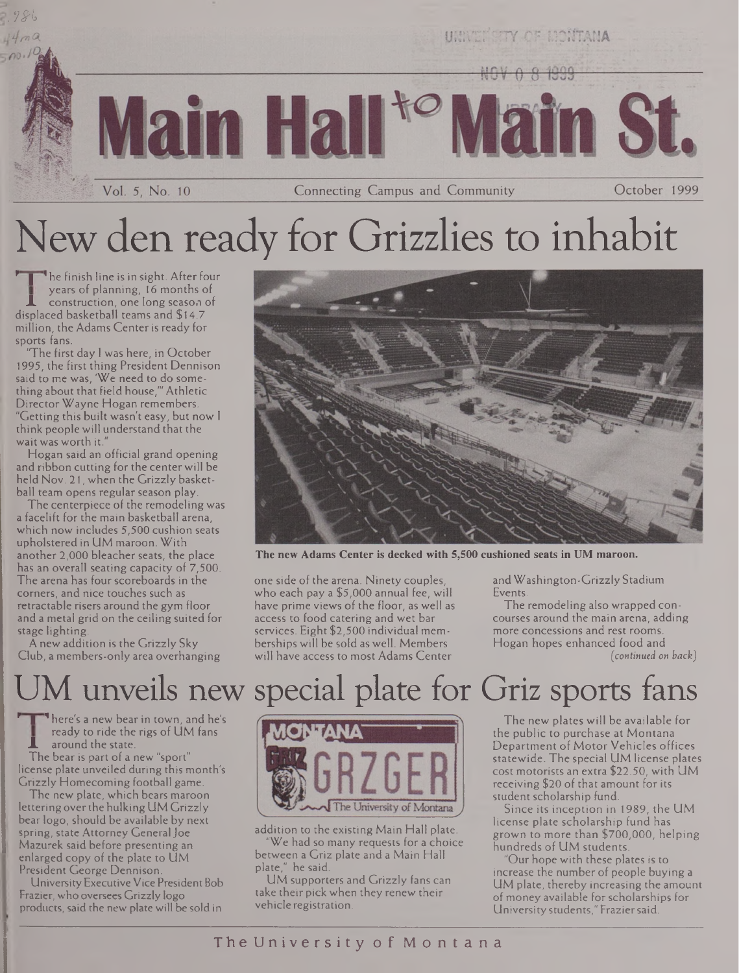

# New den ready for Grizzlies to inhabit

he finish line is in sight. After four years of planning, 16 months of construction, one long season of displaced basketball teams and \$14.7 million, the Adams Centeris ready for sports fans.

'The first day <sup>I</sup> was here, in October 1995, the first thing President Dennison said to me was, 'We need to do something about that field house,'" Athletic Director Wayne Hogan remembers. "Getting this built wasn't easy, but now <sup>I</sup> think people will understand that the wait was worth it."

Hogan said an official grand opening and ribbon cutting for the center will be held Nov. 21, when the Grizzly basketball team opens regular season play.

The centerpiece of the remodeling was a facelift for the main basketball arena, which now includes 5,500 cushion seats upholstered in UM maroon. With another 2,000 bleacher seats, the place has an overall seating capacity of 7,500. The arena has four scoreboards in the corners, and nice touches such as retractable risers around the gym floor and a metal grid on the ceiling suited for stage lighting.

A new addition is the Grizzly Sky Club, a members-only area overhanging



**The new Adams Center is decked with 5,500 cushioned seats in UM maroon.**

one side of the arena. Ninety couples, who each pay a \$5,000 annual fee, will have prime views of the floor, as well as access to food catering and wet bar services. Eight \$2,500 individual memberships will be sold as well. Members will have access to most Adams Center

andWashington-GrizzlyStadium Events.

The remodeling also wrapped concourses around the main arena, adding more concessions and rest rooms. Hogan hopes enhanced food and *(continued on back)*

## M unveils new special plate for Griz sports fans

**\* 1** 'here's a new bear in town, and he's ready to ride the rigs of UM fans **X** around the state.

The bear is part of a new "sport" license plate unveiled during this month's Grizzly Homecoming football game.

The new plate, which bears maroon lettering overthe hulkingUM Grizzly bear logo, should be available by next spring, state Attorney General Joe Mazurek said before presenting an enlarged copy of the plate to UM President George Dennison.

University Executive Vice President Bob Frazier, who oversees Grizzly logo products, said the new plate will be sold in



addition to the existing Main Hall plate. 'We had so many requests for a choice between a Griz plate and a Main Hall plate," he said.

UM supporters and Grizzly fans can take their pick when they renew their vehicle registration.

The new plates will be available for the public to purchase at Montana Department of Motor Vehicles offices statewide. The special UM license plates cost motorists an extra \$22.50, with UM receiving \$20 of that amount for its student scholarship fund

Since its inception in 1989, the UM license plate scholarship fund has grown to more than \$700,000, helping hundreds of UM students.

"Our hope with these plates is to increase the number of people buying a UM plate, thereby increasing the amount of money available forscholarships for University students," Fraziersaid.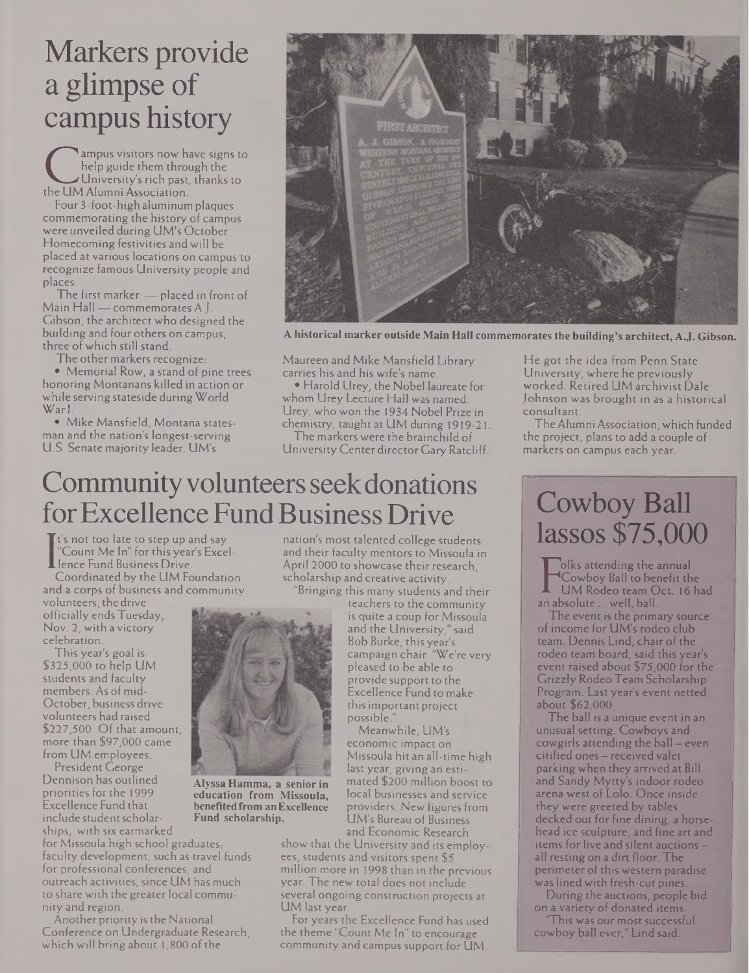## Markers provide a glimpse of campus history

The UM Alumni Association.<br>The UM Alumni Association.<br>Four 3-foot-high alumnium plaque ampus visitors now have signs to help guide them through the University's rich past, thanks to

Four 3-foot-high aluminum plaques commemorating the history of campus were unveiled during UM's October Homecoming festivities and will be placed at various locations on campus to recognize famous University people and places.

The first marker — placed in front of Main Hall — commemorates A.J. Gibson, the architect who designed the building and four others on campus, three of which still stand

The other markers recognize:

• Memorial Row, a stand of pine trees honoring Montanans killed in action or while serving stateside during World WarI.

• Mike Mansfield, Montana statesman and the nation's longest-serving U.S. Senate majority leader. UM's



**A historical marker outside Main Hall commemorates the building's architect, A.J. Gibson.**

Maureen and Mike Mansfield Library carries his and his wife's name.

• Harold Urey, the Nobel laureate for whom Urey Lecture Hall was named. Urey, who won the 1934 Nobel Prize in chemistry, taught at UM during 1919-21.

The markers were the brainchild of UniversityCenter directorGaryRatcliff.

### Community volunteers seek donations for Excellence Fund Business Drive

It's not too late to step up and say "Count Me In" for this year's Excel-

**L** lence Fund Business Drive.<br>Coordinated by the UM Fo<br>and a corps of business and o Coordinated by the UM Foundation and a corps of business and community

volunteers, the drive officially ends Tuesday, Nov. 2, with a victory celebration.

This year's goal is \$325,000 to help UM students and faculty members. As of mid-October, business drive volunteers had raised \$227,500. Of that amount, more than \$97,000 came from UM employees.

President George Dennison has outlined priorities for the 1999 Excellence Fund that include student scholarships, with six earmarked

for Missoula high school graduates, faculty development, such as travel funds for professional conferences, and outreach activities, since UM has much to share with the greater local community and region.

Another priority is the National Conference on Undergraduate Research, which will bring about 1,800 of the

nation's most talented college students and their faculty mentors to Missoula in April 2000 to showcase their research, scholarship and creative activity. "Bringing this many students and their

teachers to the community is quite a coup for Missoula and the University," said Bob Burke, this year's campaign chair. "We're very pleased to be able to provide support to the Excellence Fund to make thisimportant project possible."

Meanwhile, UM's economic impact on Missoula hit an all-time high last year, giving an estimated \$200 million boost to local businesses and service providers. New figures from UM's Bureau of Business and Economic Research

show that the University and its employees, students and visitors spent \$5 million more in 1998 than in the previous year. The new total does not include several ongoing construction projects at UM last year.

For years the Excellence Fund has used the theme "Count Me In" to encourage community and campus support for UM

He got the idea from Penn State University, where he previously worked. Retired UM archivist Dale Johnson was brought in as a historical consultant.

The Alumni Association,which funded the project, plans to add a couple of markers on campus each year.

### Cowboy Ball lassos \$75,000

I UM Rodeo team Oct.<br>
In absolute ... well, ball<br>
The sunt is the ninewest olks attending the annual Cowboy Ball to benefit the UM Rodeo team Oct. 16 had

The event is the primary source of income for UM's rodeo club team. Dennis Lind, chair of the rodeo team board, said this year's event raised about \$75,000 for the Grizzly Rodeo Team Scholarship Program. Last year's event netted about \$62,000

The ball is a unique event in an unusual setting. Cowboys and cowgirls attending the ball — even citified ones — received valet parking when they arrived at Bill and Sandy Mytty's indoor rodeo arena west of Lolo. Qnce inside they were greeted by tables decked out for fine dining, a horsehead ice sculpture, and fine art and items for live and silent auctionsall resting on a dirt floor. The perimeter of this western paradise was lined with fresh-cut pines.

During the auctions, people bid on a variety of donated items.

This was our most successful cowboy ball ever," Lind said:



**Alyssa Hamma, a senior in education from Missoula, benefitedfrom anExcellence Fund scholarship.**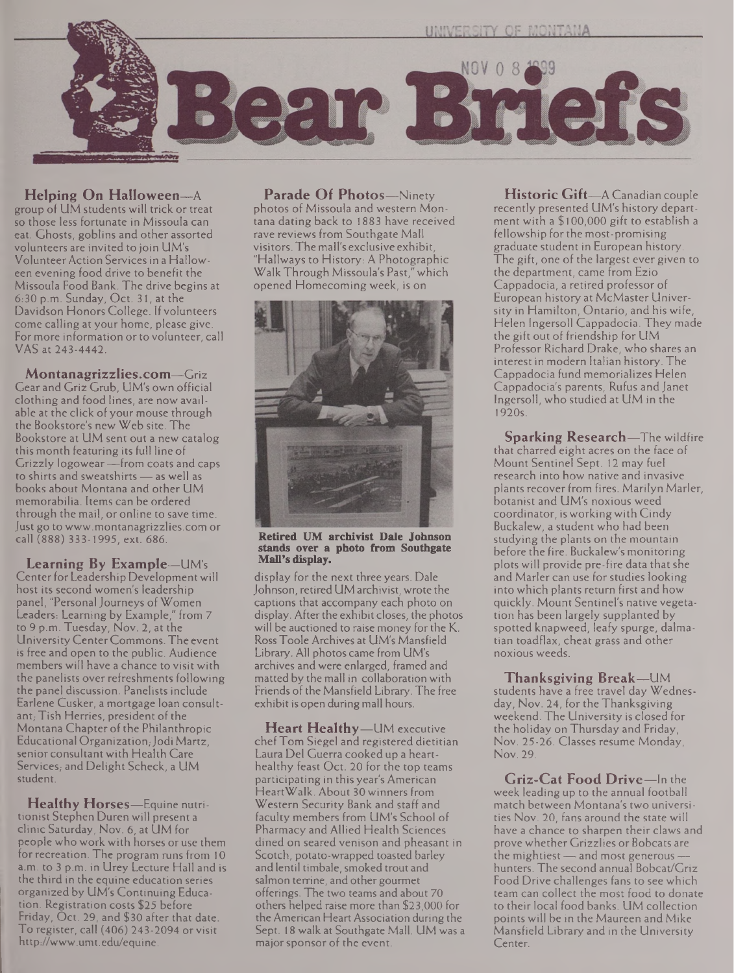

**Helping On Halloween—**<sup>A</sup> group of UM students will trick or treat so those less fortunate in Missoula can eat. Ghosts, goblins and other assorted volunteers are invited to join UM's Volunteer Action Services in a Halloween evening food drive to benefit the Missoula Food Bank. The drive begins at 6:30 p.m. Sunday, Oct. 31, at the Davidson Honors College. If volunteers come calling at your home, please give. For more information or to volunteer, call VAS at 243-4442.

**Montanagrizzlies.com—**Griz Gear and Griz Grub, UM's own official clothing and food lines, are now available at the click of your mouse through the Bookstore's new Web site. The Bookstore at UM sent out a new catalog this month featuring its full line of Grizzly logowear —from coats and caps to shirts and sweatshirts — as well as books about Montana and other UM memorabilia. Items can be ordered through the mail, or online to save time. Just go to [www.montanagrizzlies.com](http://www.montanagrizzlies.com) or call (888) 333-1995, ext. 686.

**Learning By Example—**UM's Center for Leadership Development will host its second women's leadership panel, "Personal Journeys of Women Leaders: Learning by Example," from 7 to 9 p.m. Tuesday, Nov. 2, at the UniversityCenterCommons. The event is free and open to the public. Audience members will have a chance to visit with the panelists over refreshments following the panel discussion. Panelists include Earlene Cusker, a mortgage loan consultant, Tish Herries, president of the Montana Chapter of the Philanthropic Educational Organization, Jodi Martz, senior consultant with Health Care Services; and Delight Scheck, a UM student.

**Healthy Horses—**Equine nutritionist Stephen Duren will present a clinic Saturday, Nov. 6, at UM for people who work with horses or use them for recreation. The program runs from 10 a.m. to 3 p.m. in Urey Lecture Hall and is the third in the equine education series organized by UM's Continuing Education. Registration costs \$25 before Friday, Oct. 29, and \$30 after that date. To register, call (406) 243-2094 or visit <http://www.umt.edu/equine>.

**Parade Of Photos—**Ninety photos of Missoula and western Montana dating back to 1883 have received rave reviews from Southgate Mall visitors. The mall's exclusive exhibit, "Hallways to History: A Photographic WalkThrough Missoula's Past," which opened Homecoming week, is on



**Retired UM archivist Dale Johnson stands over a photo from Southgate Mali's display.**

display for the next three years. Dale Johnson, retired UM archivist, wrote the captions that accompany each photo on display. After the exhibit closes, the photos will be auctioned to raise money for the K. RossToole Archives at UM's Mansfield Library. All photos came from UM's archives and were enlarged, framed and matted by the mall in collaboration with Friends of the Mansfield Library. The free exhibit is open during mall hours.

**Heart Healthy—**UM executive chefTom Siegel and registered dietitian Laura Del Guerra cooked up a hearthealthy feast Oct. 20 for the top teams participating in this year's American HeartWalk. About 30 winners from Western Security Bank and staff and faculty members from UM's School of Pharmacy and Allied Health Sciences dined on seared venison and pheasant in Scotch, potato-wrapped toasted barley and lentil timbale, smoked trout and salmon terrine, and other gourmet offerings. The two teams and about 70 others helped raise more than \$23,000 for the American Heart Association during the Sept. 18 walk at Southgate Mall. UM was a major sponsor of the event.

**Historic Gift—**A Canadian couple recently presented UM's history department with a \$100,000 gift to establish a fellowship for the most-promising graduate student in European history. The gift, one of the largest ever given to the department, came from Ezio Cappadocia, a retired professor of European history at McMaster University in Hamilton, Ontario, and his wife, Helen Ingersoll Cappadocia. They made the gift out of friendship for UM Professor Richard Drake, who shares an interest in modern Italian history. The Cappadocia fund memorializes Helen Cappadocia's parents, Rufus and Janet Ingersoll, who studied at UM in the 1920s.

**Sparking Research—**The wildfire that charred eight acres on the face of Mount Sentinel Sept. 12 may fuel research into how native and invasive plants recover from fires. Marilyn Marler, botanist and UM's noxious weed coordinator, is working with Cindy Buckalew, a student who had been studying the plants on the mountain before the fire. Buckalew's monitoring plots will provide pre-fire data thatshe and Marler can use for studies looking into which plants return first and how quickly. Mount Sentinel's native vegetation has been largely supplanted by spotted knapweed, leafy spurge, dalmatian toadflax, cheat grass and other noxious weeds.

**Thanksgiving Break—**UM students have a free travel day Wednesday, Nov. 24, for the Thanksgiving weekend. The University is closed for the holiday on Thursday and Friday, Nov. 25-26. Classes resume Monday, Nov. 29.

**Griz-Cat Food Drive—**In the week leading up to the annual football match between Montana's two universities Nov. 20, fans around the state will have a chance to sharpen their claws and prove whether Grizzlies or Bobcats are the mightiest — and most generous hunters. The second annual Bobcat/Griz Food Drive challenges fans to see which team can collect the most food to donate to their local food banks. UM collection points will be in the Maureen and Mike Mansfield Library and in the University Center.